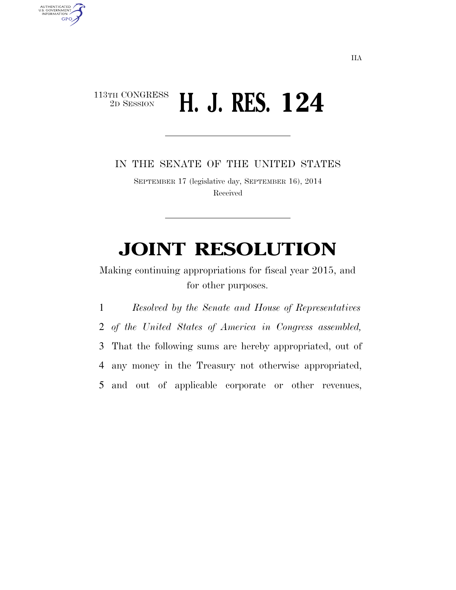## $\begin{array}{c} \textbf{113TH CONGRESS} \\ \textbf{2D SESION} \end{array}$ 2D SESSION **H. J. RES. 124**

AUTHENTICATED<br>U.S. GOVERNMENT<br>INFORMATION **GPO** 

IN THE SENATE OF THE UNITED STATES

SEPTEMBER 17 (legislative day, SEPTEMBER 16), 2014 Received

## **JOINT RESOLUTION**

Making continuing appropriations for fiscal year 2015, and for other purposes.

 *Resolved by the Senate and House of Representatives of the United States of America in Congress assembled,*  That the following sums are hereby appropriated, out of any money in the Treasury not otherwise appropriated, and out of applicable corporate or other revenues,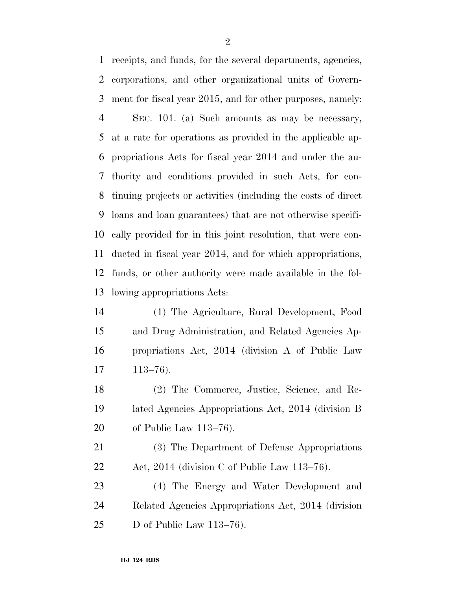receipts, and funds, for the several departments, agencies, corporations, and other organizational units of Govern- ment for fiscal year 2015, and for other purposes, namely: SEC. 101. (a) Such amounts as may be necessary, at a rate for operations as provided in the applicable ap- propriations Acts for fiscal year 2014 and under the au- thority and conditions provided in such Acts, for con- tinuing projects or activities (including the costs of direct loans and loan guarantees) that are not otherwise specifi- cally provided for in this joint resolution, that were con- ducted in fiscal year 2014, and for which appropriations, funds, or other authority were made available in the fol-lowing appropriations Acts:

 (1) The Agriculture, Rural Development, Food and Drug Administration, and Related Agencies Ap- propriations Act, 2014 (division A of Public Law 113–76).

 (2) The Commerce, Justice, Science, and Re- lated Agencies Appropriations Act, 2014 (division B of Public Law 113–76).

 (3) The Department of Defense Appropriations Act, 2014 (division C of Public Law 113–76).

 (4) The Energy and Water Development and Related Agencies Appropriations Act, 2014 (division D of Public Law 113–76).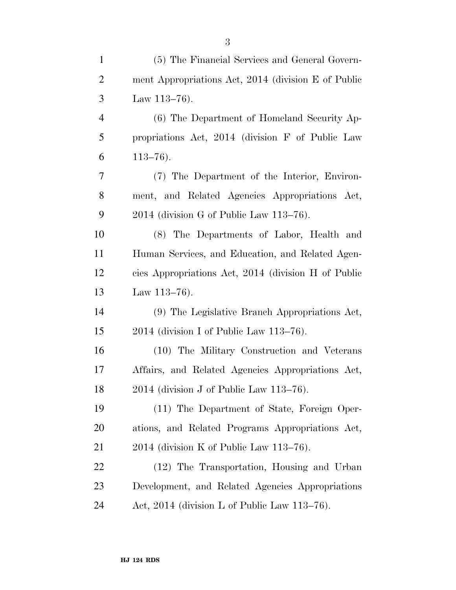| $\mathbf{1}$   | (5) The Financial Services and General Govern-      |
|----------------|-----------------------------------------------------|
| $\overline{2}$ | ment Appropriations Act, 2014 (division E of Public |
| 3              | Law $113-76$ ).                                     |
| $\overline{4}$ | (6) The Department of Homeland Security Ap-         |
| 5              | propriations Act, 2014 (division F of Public Law    |
| 6              | $113 - 76$ .                                        |
| 7              | (7) The Department of the Interior, Environ-        |
| 8              | ment, and Related Agencies Appropriations Act,      |
| 9              | 2014 (division G of Public Law 113–76).             |
| 10             | (8) The Departments of Labor, Health and            |
| 11             | Human Services, and Education, and Related Agen-    |
| 12             | cies Appropriations Act, 2014 (division H of Public |
| 13             | Law $113-76$ .                                      |
| 14             | (9) The Legislative Branch Appropriations Act,      |
| 15             | $2014$ (division I of Public Law $113-76$ ).        |
| 16             | (10) The Military Construction and Veterans         |
| 17             | Affairs, and Related Agencies Appropriations Act,   |
| 18             | $2014$ (division J of Public Law 113-76).           |
| 19             | (11) The Department of State, Foreign Oper-         |
| 20             | ations, and Related Programs Appropriations Act,    |
| 21             | $2014$ (division K of Public Law 113–76).           |
| 22             | (12) The Transportation, Housing and Urban          |
| 23             | Development, and Related Agencies Appropriations    |
| 24             | Act, 2014 (division L of Public Law 113-76).        |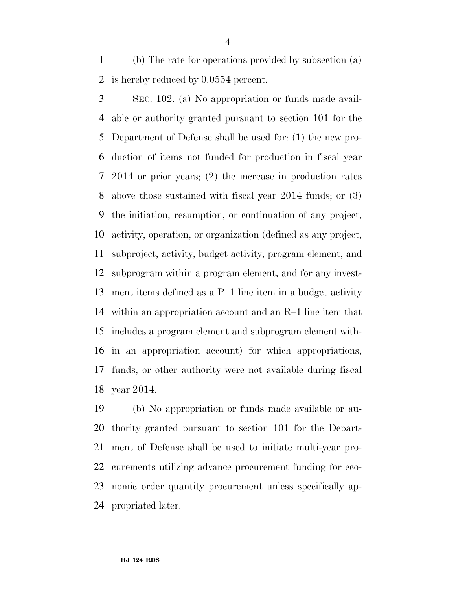(b) The rate for operations provided by subsection (a) is hereby reduced by 0.0554 percent.

 SEC. 102. (a) No appropriation or funds made avail- able or authority granted pursuant to section 101 for the Department of Defense shall be used for: (1) the new pro- duction of items not funded for production in fiscal year 2014 or prior years; (2) the increase in production rates above those sustained with fiscal year 2014 funds; or (3) the initiation, resumption, or continuation of any project, activity, operation, or organization (defined as any project, subproject, activity, budget activity, program element, and subprogram within a program element, and for any invest- ment items defined as a P–1 line item in a budget activity within an appropriation account and an R–1 line item that includes a program element and subprogram element with- in an appropriation account) for which appropriations, funds, or other authority were not available during fiscal year 2014.

 (b) No appropriation or funds made available or au- thority granted pursuant to section 101 for the Depart- ment of Defense shall be used to initiate multi-year pro- curements utilizing advance procurement funding for eco- nomic order quantity procurement unless specifically ap-propriated later.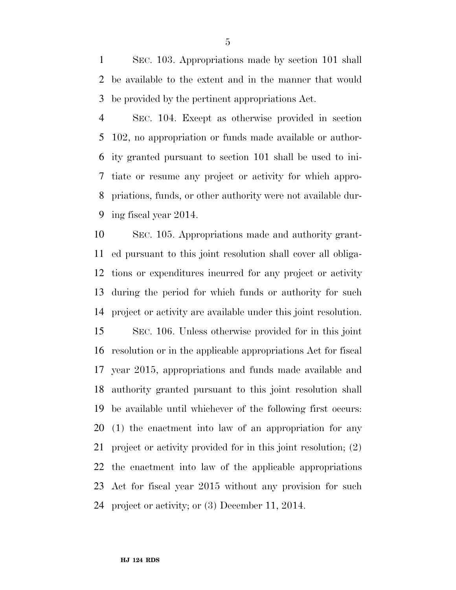SEC. 103. Appropriations made by section 101 shall be available to the extent and in the manner that would be provided by the pertinent appropriations Act.

 SEC. 104. Except as otherwise provided in section 102, no appropriation or funds made available or author- ity granted pursuant to section 101 shall be used to ini- tiate or resume any project or activity for which appro- priations, funds, or other authority were not available dur-ing fiscal year 2014.

 SEC. 105. Appropriations made and authority grant- ed pursuant to this joint resolution shall cover all obliga- tions or expenditures incurred for any project or activity during the period for which funds or authority for such project or activity are available under this joint resolution. SEC. 106. Unless otherwise provided for in this joint resolution or in the applicable appropriations Act for fiscal year 2015, appropriations and funds made available and authority granted pursuant to this joint resolution shall be available until whichever of the following first occurs: (1) the enactment into law of an appropriation for any project or activity provided for in this joint resolution; (2) the enactment into law of the applicable appropriations Act for fiscal year 2015 without any provision for such project or activity; or (3) December 11, 2014.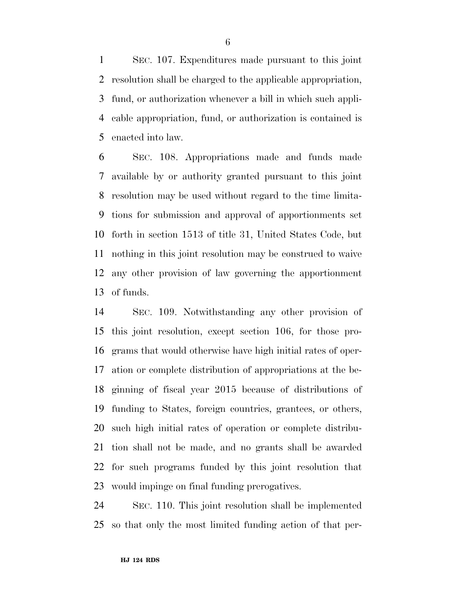SEC. 107. Expenditures made pursuant to this joint resolution shall be charged to the applicable appropriation, fund, or authorization whenever a bill in which such appli- cable appropriation, fund, or authorization is contained is enacted into law.

 SEC. 108. Appropriations made and funds made available by or authority granted pursuant to this joint resolution may be used without regard to the time limita- tions for submission and approval of apportionments set forth in section 1513 of title 31, United States Code, but nothing in this joint resolution may be construed to waive any other provision of law governing the apportionment of funds.

 SEC. 109. Notwithstanding any other provision of this joint resolution, except section 106, for those pro- grams that would otherwise have high initial rates of oper- ation or complete distribution of appropriations at the be- ginning of fiscal year 2015 because of distributions of funding to States, foreign countries, grantees, or others, such high initial rates of operation or complete distribu- tion shall not be made, and no grants shall be awarded for such programs funded by this joint resolution that would impinge on final funding prerogatives.

 SEC. 110. This joint resolution shall be implemented so that only the most limited funding action of that per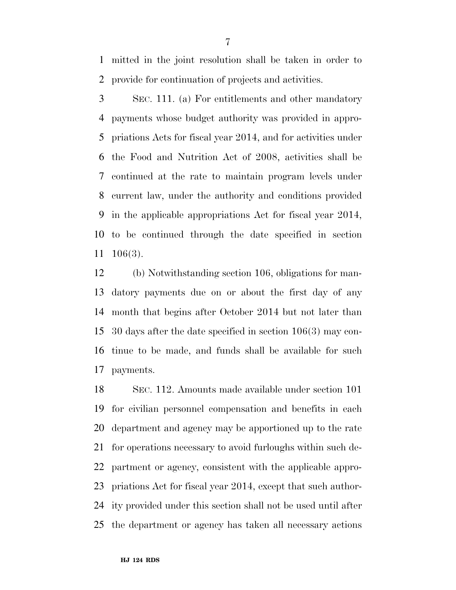mitted in the joint resolution shall be taken in order to provide for continuation of projects and activities.

 SEC. 111. (a) For entitlements and other mandatory payments whose budget authority was provided in appro- priations Acts for fiscal year 2014, and for activities under the Food and Nutrition Act of 2008, activities shall be continued at the rate to maintain program levels under current law, under the authority and conditions provided in the applicable appropriations Act for fiscal year 2014, to be continued through the date specified in section 106(3).

 (b) Notwithstanding section 106, obligations for man- datory payments due on or about the first day of any month that begins after October 2014 but not later than 30 days after the date specified in section 106(3) may con- tinue to be made, and funds shall be available for such payments.

 SEC. 112. Amounts made available under section 101 for civilian personnel compensation and benefits in each department and agency may be apportioned up to the rate for operations necessary to avoid furloughs within such de- partment or agency, consistent with the applicable appro- priations Act for fiscal year 2014, except that such author- ity provided under this section shall not be used until after the department or agency has taken all necessary actions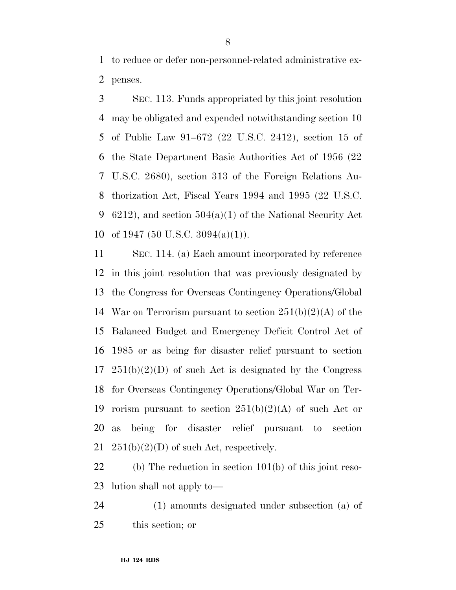to reduce or defer non-personnel-related administrative ex-penses.

 SEC. 113. Funds appropriated by this joint resolution may be obligated and expended notwithstanding section 10 of Public Law 91–672 (22 U.S.C. 2412), section 15 of the State Department Basic Authorities Act of 1956 (22 U.S.C. 2680), section 313 of the Foreign Relations Au- thorization Act, Fiscal Years 1994 and 1995 (22 U.S.C. 6212), and section 504(a)(1) of the National Security Act 10 of 1947 (50 U.S.C.  $3094(a)(1)$ ).

 SEC. 114. (a) Each amount incorporated by reference in this joint resolution that was previously designated by the Congress for Overseas Contingency Operations/Global 14 War on Terrorism pursuant to section  $251(b)(2)(A)$  of the Balanced Budget and Emergency Deficit Control Act of 1985 or as being for disaster relief pursuant to section  $17 \quad 251(b)(2)(D)$  of such Act is designated by the Congress for Overseas Contingency Operations/Global War on Ter-19 rorism pursuant to section  $251(b)(2)(A)$  of such Act or as being for disaster relief pursuant to section  $251(b)(2)(D)$  of such Act, respectively.

 (b) The reduction in section 101(b) of this joint reso-lution shall not apply to—

 (1) amounts designated under subsection (a) of this section; or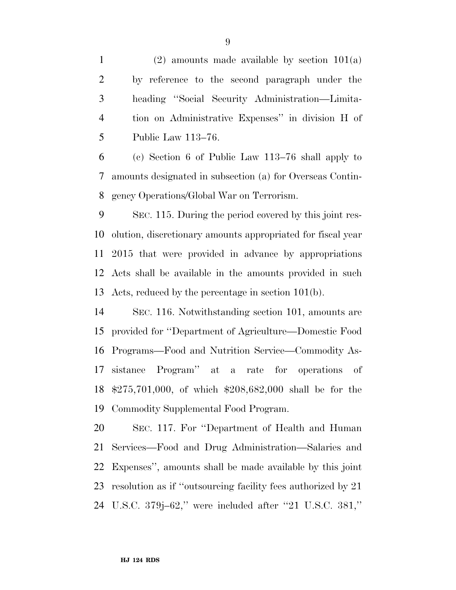1 (2) amounts made available by section  $101(a)$  by reference to the second paragraph under the heading ''Social Security Administration—Limita- tion on Administrative Expenses'' in division H of Public Law 113–76.

 (c) Section 6 of Public Law 113–76 shall apply to amounts designated in subsection (a) for Overseas Contin-gency Operations/Global War on Terrorism.

 SEC. 115. During the period covered by this joint res- olution, discretionary amounts appropriated for fiscal year 2015 that were provided in advance by appropriations Acts shall be available in the amounts provided in such Acts, reduced by the percentage in section 101(b).

 SEC. 116. Notwithstanding section 101, amounts are provided for ''Department of Agriculture—Domestic Food Programs—Food and Nutrition Service—Commodity As- sistance Program'' at a rate for operations of \$275,701,000, of which \$208,682,000 shall be for the Commodity Supplemental Food Program.

 SEC. 117. For ''Department of Health and Human Services—Food and Drug Administration—Salaries and Expenses'', amounts shall be made available by this joint resolution as if ''outsourcing facility fees authorized by 21 U.S.C. 379j–62,'' were included after ''21 U.S.C. 381,''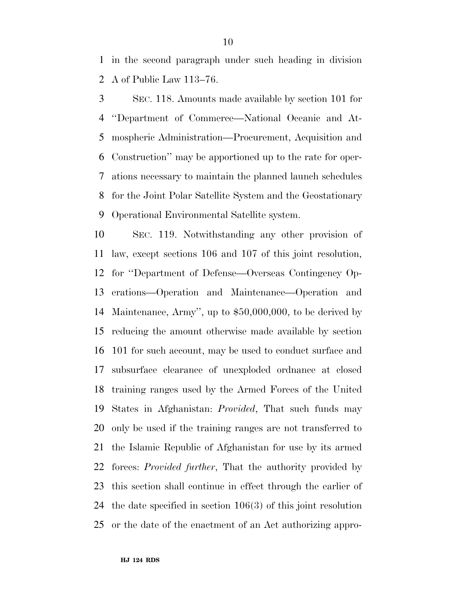in the second paragraph under such heading in division A of Public Law 113–76.

 SEC. 118. Amounts made available by section 101 for ''Department of Commerce—National Oceanic and At- mospheric Administration—Procurement, Acquisition and Construction'' may be apportioned up to the rate for oper- ations necessary to maintain the planned launch schedules for the Joint Polar Satellite System and the Geostationary Operational Environmental Satellite system.

 SEC. 119. Notwithstanding any other provision of law, except sections 106 and 107 of this joint resolution, for ''Department of Defense—Overseas Contingency Op- erations—Operation and Maintenance—Operation and Maintenance, Army'', up to \$50,000,000, to be derived by reducing the amount otherwise made available by section 101 for such account, may be used to conduct surface and subsurface clearance of unexploded ordnance at closed training ranges used by the Armed Forces of the United States in Afghanistan: *Provided*, That such funds may only be used if the training ranges are not transferred to the Islamic Republic of Afghanistan for use by its armed forces: *Provided further*, That the authority provided by this section shall continue in effect through the earlier of the date specified in section 106(3) of this joint resolution or the date of the enactment of an Act authorizing appro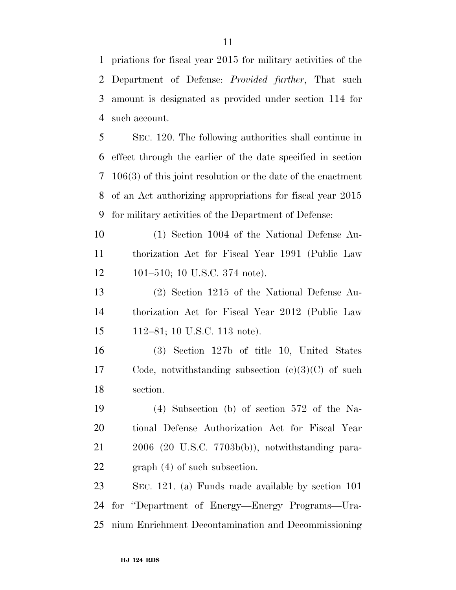priations for fiscal year 2015 for military activities of the Department of Defense: *Provided further*, That such amount is designated as provided under section 114 for such account.

 SEC. 120. The following authorities shall continue in effect through the earlier of the date specified in section 106(3) of this joint resolution or the date of the enactment of an Act authorizing appropriations for fiscal year 2015 for military activities of the Department of Defense:

 (1) Section 1004 of the National Defense Au- thorization Act for Fiscal Year 1991 (Public Law 101–510; 10 U.S.C. 374 note).

 (2) Section 1215 of the National Defense Au- thorization Act for Fiscal Year 2012 (Public Law 112–81; 10 U.S.C. 113 note).

 (3) Section 127b of title 10, United States Code, notwithstanding subsection (c)(3)(C) of such section.

 (4) Subsection (b) of section 572 of the Na- tional Defense Authorization Act for Fiscal Year 2006 (20 U.S.C. 7703b(b)), notwithstanding para-graph (4) of such subsection.

 SEC. 121. (a) Funds made available by section 101 for ''Department of Energy—Energy Programs—Ura-nium Enrichment Decontamination and Decommissioning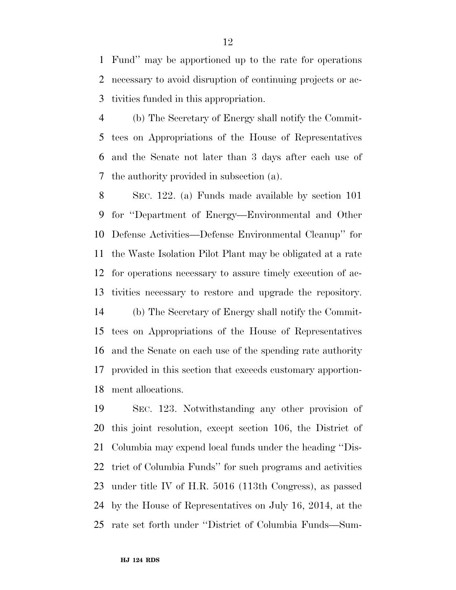Fund'' may be apportioned up to the rate for operations necessary to avoid disruption of continuing projects or ac-tivities funded in this appropriation.

 (b) The Secretary of Energy shall notify the Commit- tees on Appropriations of the House of Representatives and the Senate not later than 3 days after each use of the authority provided in subsection (a).

 SEC. 122. (a) Funds made available by section 101 for ''Department of Energy—Environmental and Other Defense Activities—Defense Environmental Cleanup'' for the Waste Isolation Pilot Plant may be obligated at a rate for operations necessary to assure timely execution of ac- tivities necessary to restore and upgrade the repository. (b) The Secretary of Energy shall notify the Commit- tees on Appropriations of the House of Representatives and the Senate on each use of the spending rate authority

 provided in this section that exceeds customary apportion-ment allocations.

 SEC. 123. Notwithstanding any other provision of this joint resolution, except section 106, the District of Columbia may expend local funds under the heading ''Dis- trict of Columbia Funds'' for such programs and activities under title IV of H.R. 5016 (113th Congress), as passed by the House of Representatives on July 16, 2014, at the rate set forth under ''District of Columbia Funds—Sum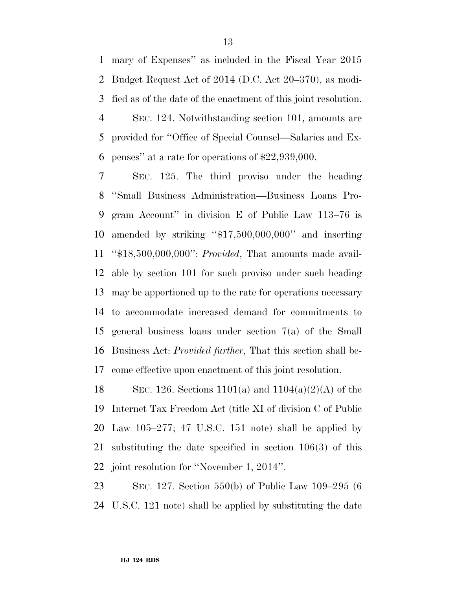mary of Expenses'' as included in the Fiscal Year 2015 Budget Request Act of 2014 (D.C. Act 20–370), as modi- fied as of the date of the enactment of this joint resolution. SEC. 124. Notwithstanding section 101, amounts are provided for ''Office of Special Counsel—Salaries and Ex-

penses'' at a rate for operations of \$22,939,000.

 SEC. 125. The third proviso under the heading ''Small Business Administration—Business Loans Pro- gram Account'' in division E of Public Law 113–76 is amended by striking ''\$17,500,000,000'' and inserting ''\$18,500,000,000'': *Provided*, That amounts made avail- able by section 101 for such proviso under such heading may be apportioned up to the rate for operations necessary to accommodate increased demand for commitments to general business loans under section 7(a) of the Small Business Act: *Provided further*, That this section shall be-come effective upon enactment of this joint resolution.

18 SEC. 126. Sections 1101(a) and  $1104(a)(2)(A)$  of the Internet Tax Freedom Act (title XI of division C of Public Law 105–277; 47 U.S.C. 151 note) shall be applied by substituting the date specified in section 106(3) of this joint resolution for ''November 1, 2014''.

 SEC. 127. Section 550(b) of Public Law 109–295 (6 U.S.C. 121 note) shall be applied by substituting the date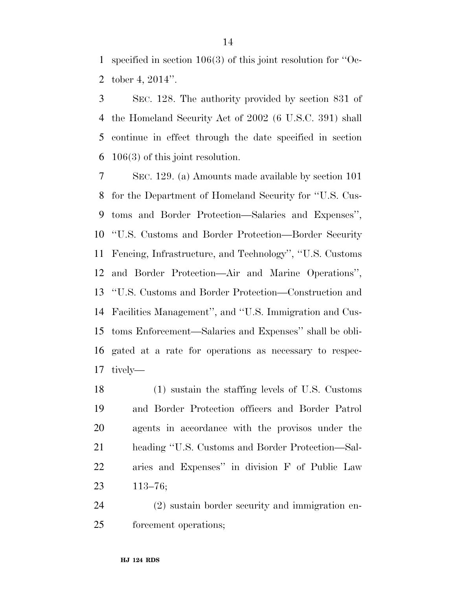specified in section 106(3) of this joint resolution for ''Oc-tober 4, 2014''.

 SEC. 128. The authority provided by section 831 of the Homeland Security Act of 2002 (6 U.S.C. 391) shall continue in effect through the date specified in section 106(3) of this joint resolution.

 SEC. 129. (a) Amounts made available by section 101 for the Department of Homeland Security for ''U.S. Cus- toms and Border Protection—Salaries and Expenses'', ''U.S. Customs and Border Protection—Border Security Fencing, Infrastructure, and Technology'', ''U.S. Customs and Border Protection—Air and Marine Operations'', ''U.S. Customs and Border Protection—Construction and Facilities Management'', and ''U.S. Immigration and Cus- toms Enforcement—Salaries and Expenses'' shall be obli- gated at a rate for operations as necessary to respec-tively—

 (1) sustain the staffing levels of U.S. Customs and Border Protection officers and Border Patrol agents in accordance with the provisos under the heading ''U.S. Customs and Border Protection—Sal- aries and Expenses'' in division F of Public Law 113–76;

 (2) sustain border security and immigration en-forcement operations;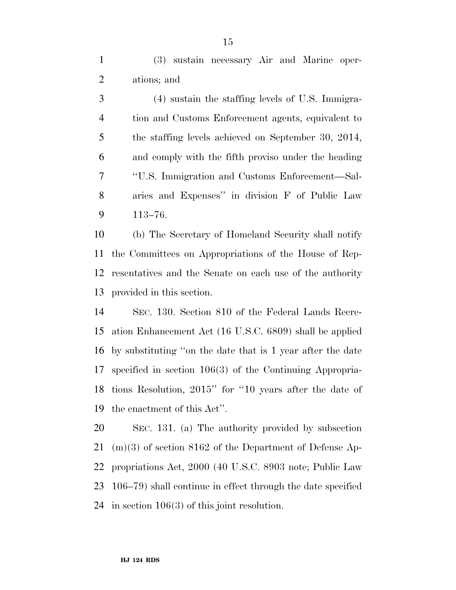(3) sustain necessary Air and Marine oper-ations; and

 (4) sustain the staffing levels of U.S. Immigra- tion and Customs Enforcement agents, equivalent to the staffing levels achieved on September 30, 2014, and comply with the fifth proviso under the heading ''U.S. Immigration and Customs Enforcement—Sal- aries and Expenses'' in division F of Public Law 113–76.

 (b) The Secretary of Homeland Security shall notify the Committees on Appropriations of the House of Rep- resentatives and the Senate on each use of the authority provided in this section.

 SEC. 130. Section 810 of the Federal Lands Recre- ation Enhancement Act (16 U.S.C. 6809) shall be applied by substituting ''on the date that is 1 year after the date specified in section 106(3) of the Continuing Appropria- tions Resolution, 2015'' for ''10 years after the date of the enactment of this Act''.

 SEC. 131. (a) The authority provided by subsection (m)(3) of section 8162 of the Department of Defense Ap- propriations Act, 2000 (40 U.S.C. 8903 note; Public Law 106–79) shall continue in effect through the date specified in section 106(3) of this joint resolution.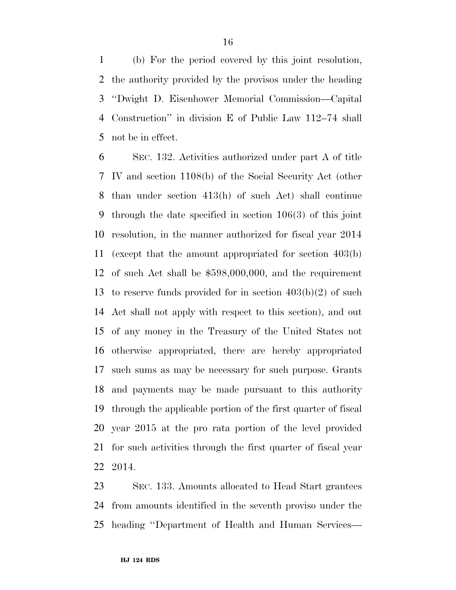(b) For the period covered by this joint resolution, the authority provided by the provisos under the heading ''Dwight D. Eisenhower Memorial Commission—Capital Construction'' in division E of Public Law 112–74 shall not be in effect.

 SEC. 132. Activities authorized under part A of title IV and section 1108(b) of the Social Security Act (other than under section 413(h) of such Act) shall continue through the date specified in section 106(3) of this joint resolution, in the manner authorized for fiscal year 2014 (except that the amount appropriated for section 403(b) of such Act shall be \$598,000,000, and the requirement to reserve funds provided for in section 403(b)(2) of such Act shall not apply with respect to this section), and out of any money in the Treasury of the United States not otherwise appropriated, there are hereby appropriated such sums as may be necessary for such purpose. Grants and payments may be made pursuant to this authority through the applicable portion of the first quarter of fiscal year 2015 at the pro rata portion of the level provided for such activities through the first quarter of fiscal year 2014.

 SEC. 133. Amounts allocated to Head Start grantees from amounts identified in the seventh proviso under the heading ''Department of Health and Human Services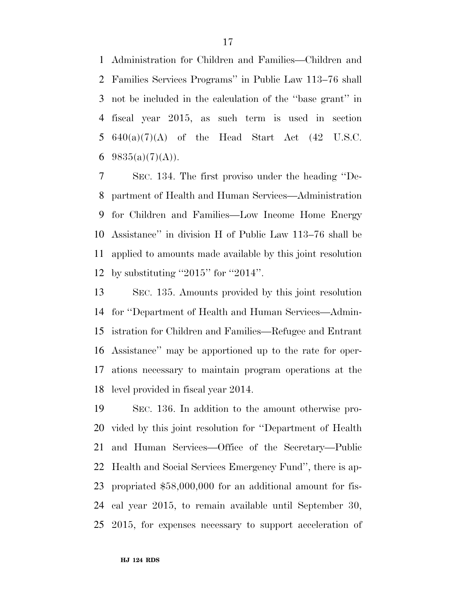Administration for Children and Families—Children and Families Services Programs'' in Public Law 113–76 shall not be included in the calculation of the ''base grant'' in fiscal year 2015, as such term is used in section  $640(a)(7)(A)$  of the Head Start Act  $(42 \text{ U.S.C.})$  $9835(a)(7)(A)$ .

 SEC. 134. The first proviso under the heading ''De- partment of Health and Human Services—Administration for Children and Families—Low Income Home Energy Assistance'' in division H of Public Law 113–76 shall be applied to amounts made available by this joint resolution by substituting ''2015'' for ''2014''.

 SEC. 135. Amounts provided by this joint resolution for ''Department of Health and Human Services—Admin- istration for Children and Families—Refugee and Entrant Assistance'' may be apportioned up to the rate for oper- ations necessary to maintain program operations at the level provided in fiscal year 2014.

 SEC. 136. In addition to the amount otherwise pro- vided by this joint resolution for ''Department of Health and Human Services—Office of the Secretary—Public Health and Social Services Emergency Fund'', there is ap- propriated \$58,000,000 for an additional amount for fis- cal year 2015, to remain available until September 30, 2015, for expenses necessary to support acceleration of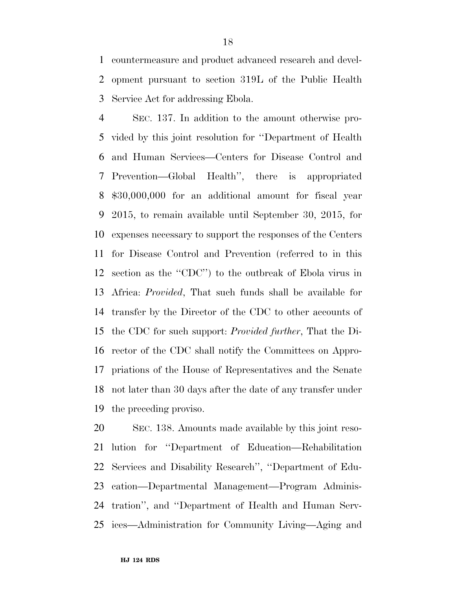countermeasure and product advanced research and devel- opment pursuant to section 319L of the Public Health Service Act for addressing Ebola.

 SEC. 137. In addition to the amount otherwise pro- vided by this joint resolution for ''Department of Health and Human Services—Centers for Disease Control and Prevention—Global Health'', there is appropriated \$30,000,000 for an additional amount for fiscal year 2015, to remain available until September 30, 2015, for expenses necessary to support the responses of the Centers for Disease Control and Prevention (referred to in this section as the ''CDC'') to the outbreak of Ebola virus in Africa: *Provided*, That such funds shall be available for transfer by the Director of the CDC to other accounts of the CDC for such support: *Provided further*, That the Di- rector of the CDC shall notify the Committees on Appro- priations of the House of Representatives and the Senate not later than 30 days after the date of any transfer under the preceding proviso.

 SEC. 138. Amounts made available by this joint reso- lution for ''Department of Education—Rehabilitation Services and Disability Research'', ''Department of Edu- cation—Departmental Management—Program Adminis- tration'', and ''Department of Health and Human Serv-ices—Administration for Community Living—Aging and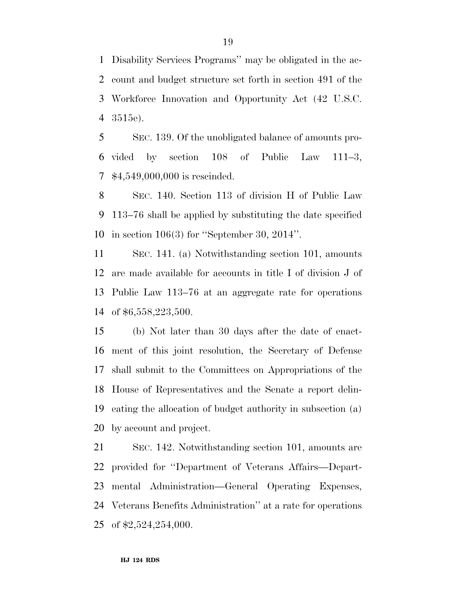Disability Services Programs'' may be obligated in the ac- count and budget structure set forth in section 491 of the Workforce Innovation and Opportunity Act (42 U.S.C. 3515e).

 SEC. 139. Of the unobligated balance of amounts pro- vided by section 108 of Public Law 111–3, \$4,549,000,000 is rescinded.

 SEC. 140. Section 113 of division H of Public Law 113–76 shall be applied by substituting the date specified in section 106(3) for ''September 30, 2014''.

 SEC. 141. (a) Notwithstanding section 101, amounts are made available for accounts in title I of division J of Public Law 113–76 at an aggregate rate for operations of \$6,558,223,500.

 (b) Not later than 30 days after the date of enact- ment of this joint resolution, the Secretary of Defense shall submit to the Committees on Appropriations of the House of Representatives and the Senate a report delin- eating the allocation of budget authority in subsection (a) by account and project.

 SEC. 142. Notwithstanding section 101, amounts are provided for ''Department of Veterans Affairs—Depart- mental Administration—General Operating Expenses, Veterans Benefits Administration'' at a rate for operations of \$2,524,254,000.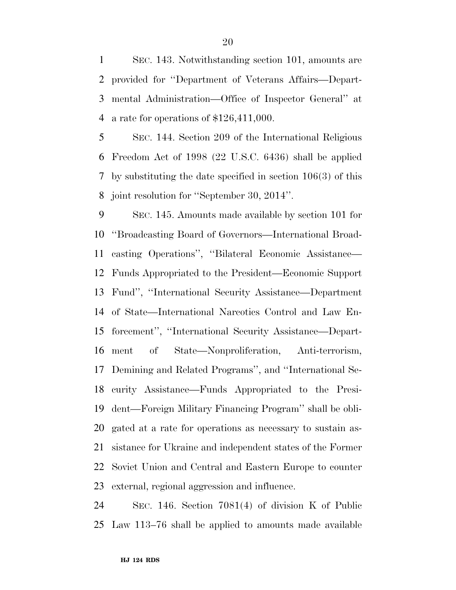SEC. 143. Notwithstanding section 101, amounts are provided for ''Department of Veterans Affairs—Depart- mental Administration—Office of Inspector General'' at a rate for operations of \$126,411,000.

 SEC. 144. Section 209 of the International Religious Freedom Act of 1998 (22 U.S.C. 6436) shall be applied by substituting the date specified in section 106(3) of this joint resolution for ''September 30, 2014''.

 SEC. 145. Amounts made available by section 101 for ''Broadcasting Board of Governors—International Broad- casting Operations'', ''Bilateral Economic Assistance— Funds Appropriated to the President—Economic Support Fund'', ''International Security Assistance—Department of State—International Narcotics Control and Law En- forcement'', ''International Security Assistance—Depart- ment of State—Nonproliferation, Anti-terrorism, Demining and Related Programs'', and ''International Se- curity Assistance—Funds Appropriated to the Presi- dent—Foreign Military Financing Program'' shall be obli- gated at a rate for operations as necessary to sustain as- sistance for Ukraine and independent states of the Former Soviet Union and Central and Eastern Europe to counter external, regional aggression and influence.

 SEC. 146. Section 7081(4) of division K of Public Law 113–76 shall be applied to amounts made available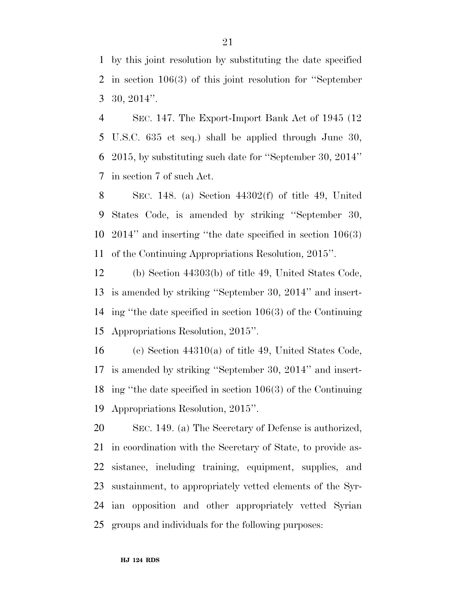by this joint resolution by substituting the date specified in section 106(3) of this joint resolution for ''September 30, 2014''.

 SEC. 147. The Export-Import Bank Act of 1945 (12 U.S.C. 635 et seq.) shall be applied through June 30, 2015, by substituting such date for ''September 30, 2014'' in section 7 of such Act.

 SEC. 148. (a) Section 44302(f) of title 49, United States Code, is amended by striking ''September 30, 2014'' and inserting ''the date specified in section 106(3) of the Continuing Appropriations Resolution, 2015''.

 (b) Section 44303(b) of title 49, United States Code, is amended by striking ''September 30, 2014'' and insert- ing ''the date specified in section 106(3) of the Continuing Appropriations Resolution, 2015''.

 (c) Section 44310(a) of title 49, United States Code, is amended by striking ''September 30, 2014'' and insert- ing ''the date specified in section 106(3) of the Continuing Appropriations Resolution, 2015''.

 SEC. 149. (a) The Secretary of Defense is authorized, in coordination with the Secretary of State, to provide as- sistance, including training, equipment, supplies, and sustainment, to appropriately vetted elements of the Syr- ian opposition and other appropriately vetted Syrian groups and individuals for the following purposes: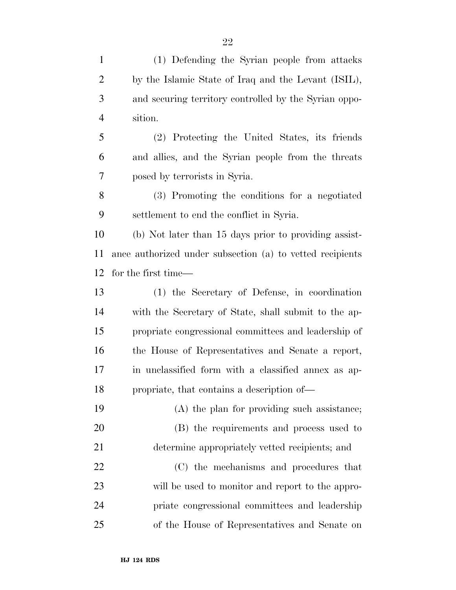(1) Defending the Syrian people from attacks by the Islamic State of Iraq and the Levant (ISIL), and securing territory controlled by the Syrian oppo- sition. (2) Protecting the United States, its friends and allies, and the Syrian people from the threats posed by terrorists in Syria. (3) Promoting the conditions for a negotiated settlement to end the conflict in Syria. (b) Not later than 15 days prior to providing assist- ance authorized under subsection (a) to vetted recipients for the first time— (1) the Secretary of Defense, in coordination with the Secretary of State, shall submit to the ap- propriate congressional committees and leadership of the House of Representatives and Senate a report, in unclassified form with a classified annex as ap- propriate, that contains a description of— (A) the plan for providing such assistance; (B) the requirements and process used to determine appropriately vetted recipients; and (C) the mechanisms and procedures that will be used to monitor and report to the appro- priate congressional committees and leadership of the House of Representatives and Senate on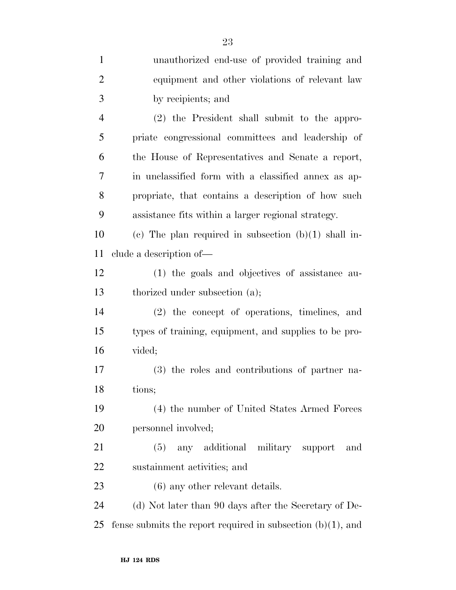| $\mathbf{1}$   | unauthorized end-use of provided training and                  |
|----------------|----------------------------------------------------------------|
| $\overline{2}$ | equipment and other violations of relevant law                 |
| 3              | by recipients; and                                             |
| $\overline{4}$ | (2) the President shall submit to the appro-                   |
| 5              | priate congressional committees and leadership of              |
| 6              | the House of Representatives and Senate a report,              |
| 7              | in unclassified form with a classified annex as ap-            |
| 8              | propriate, that contains a description of how such             |
| 9              | assistance fits within a larger regional strategy.             |
| 10             | (c) The plan required in subsection $(b)(1)$ shall in-         |
| 11             | clude a description of—                                        |
| 12             | (1) the goals and objectives of assistance au-                 |
| 13             | thorized under subsection (a);                                 |
| 14             | (2) the concept of operations, timelines, and                  |
| 15             | types of training, equipment, and supplies to be pro-          |
| 16             | vided;                                                         |
| 17             | (3) the roles and contributions of partner na-                 |
| 18             | tions;                                                         |
| 19             | (4) the number of United States Armed Forces                   |
| 20             | personnel involved;                                            |
| 21             | (5)<br>any additional military support<br>and                  |
| <u>22</u>      | sustainment activities; and                                    |
| 23             | $(6)$ any other relevant details.                              |
| 24             | (d) Not later than 90 days after the Secretary of De-          |
| 25             | fense submits the report required in subsection $(b)(1)$ , and |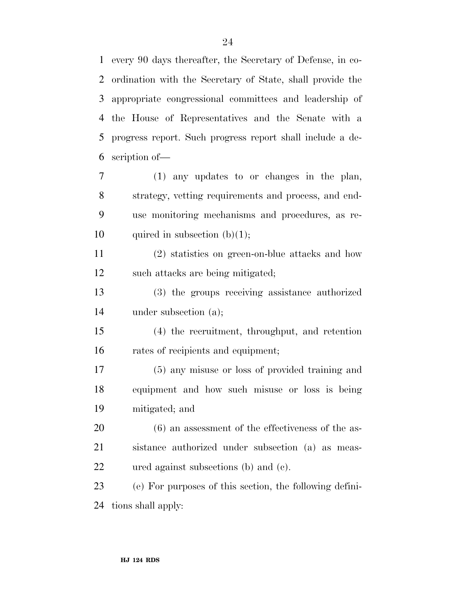every 90 days thereafter, the Secretary of Defense, in co- ordination with the Secretary of State, shall provide the appropriate congressional committees and leadership of the House of Representatives and the Senate with a progress report. Such progress report shall include a de-scription of—

 (1) any updates to or changes in the plan, strategy, vetting requirements and process, and end- use monitoring mechanisms and procedures, as re-10 quired in subsection  $(b)(1)$ ;

 (2) statistics on green-on-blue attacks and how such attacks are being mitigated;

 (3) the groups receiving assistance authorized under subsection (a);

 (4) the recruitment, throughput, and retention rates of recipients and equipment;

 (5) any misuse or loss of provided training and equipment and how such misuse or loss is being mitigated; and

 (6) an assessment of the effectiveness of the as- sistance authorized under subsection (a) as meas-ured against subsections (b) and (c).

 (e) For purposes of this section, the following defini-tions shall apply: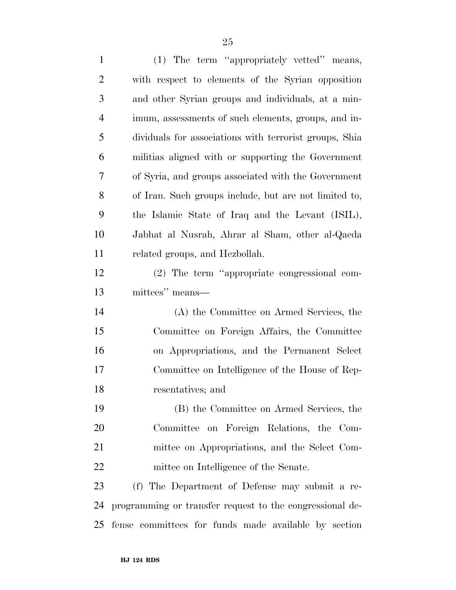(1) The term ''appropriately vetted'' means, with respect to elements of the Syrian opposition and other Syrian groups and individuals, at a min- imum, assessments of such elements, groups, and in- dividuals for associations with terrorist groups, Shia militias aligned with or supporting the Government of Syria, and groups associated with the Government of Iran. Such groups include, but are not limited to, the Islamic State of Iraq and the Levant (ISIL), Jabhat al Nusrah, Ahrar al Sham, other al-Qaeda related groups, and Hezbollah. (2) The term ''appropriate congressional com- mittees'' means— (A) the Committee on Armed Services, the Committee on Foreign Affairs, the Committee on Appropriations, and the Permanent Select Committee on Intelligence of the House of Rep- resentatives; and (B) the Committee on Armed Services, the Committee on Foreign Relations, the Com- mittee on Appropriations, and the Select Com- mittee on Intelligence of the Senate. (f) The Department of Defense may submit a re- programming or transfer request to the congressional de-fense committees for funds made available by section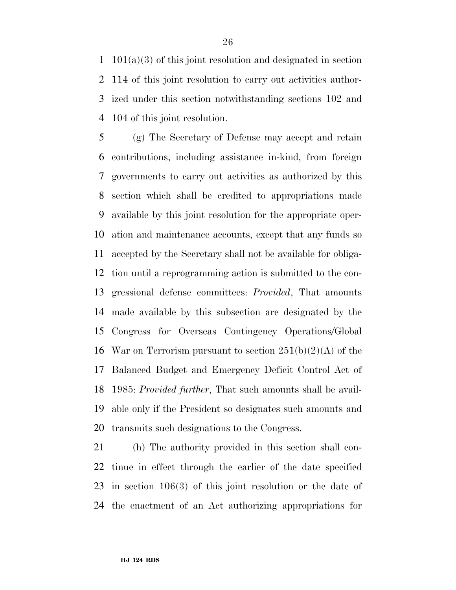101(a)(3) of this joint resolution and designated in section 114 of this joint resolution to carry out activities author- ized under this section notwithstanding sections 102 and 104 of this joint resolution.

 (g) The Secretary of Defense may accept and retain contributions, including assistance in-kind, from foreign governments to carry out activities as authorized by this section which shall be credited to appropriations made available by this joint resolution for the appropriate oper- ation and maintenance accounts, except that any funds so accepted by the Secretary shall not be available for obliga- tion until a reprogramming action is submitted to the con- gressional defense committees: *Provided*, That amounts made available by this subsection are designated by the Congress for Overseas Contingency Operations/Global 16 War on Terrorism pursuant to section  $251(b)(2)(A)$  of the Balanced Budget and Emergency Deficit Control Act of 1985: *Provided further*, That such amounts shall be avail- able only if the President so designates such amounts and transmits such designations to the Congress.

 (h) The authority provided in this section shall con- tinue in effect through the earlier of the date specified in section 106(3) of this joint resolution or the date of the enactment of an Act authorizing appropriations for